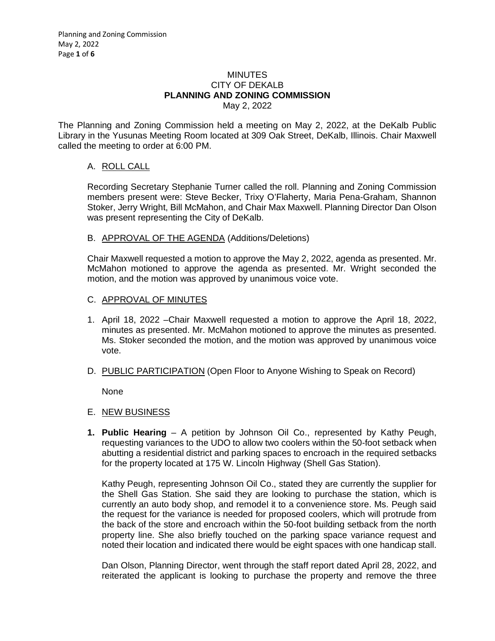### **MINUTES** CITY OF DEKALB **PLANNING AND ZONING COMMISSION** May 2, 2022

The Planning and Zoning Commission held a meeting on May 2, 2022, at the DeKalb Public Library in the Yusunas Meeting Room located at 309 Oak Street, DeKalb, Illinois. Chair Maxwell called the meeting to order at 6:00 PM.

# A. ROLL CALL

Recording Secretary Stephanie Turner called the roll. Planning and Zoning Commission members present were: Steve Becker, Trixy O'Flaherty, Maria Pena-Graham, Shannon Stoker, Jerry Wright, Bill McMahon, and Chair Max Maxwell. Planning Director Dan Olson was present representing the City of DeKalb.

## B. APPROVAL OF THE AGENDA (Additions/Deletions)

Chair Maxwell requested a motion to approve the May 2, 2022, agenda as presented. Mr. McMahon motioned to approve the agenda as presented. Mr. Wright seconded the motion, and the motion was approved by unanimous voice vote.

### C. APPROVAL OF MINUTES

- 1. April 18, 2022 –Chair Maxwell requested a motion to approve the April 18, 2022, minutes as presented. Mr. McMahon motioned to approve the minutes as presented. Ms. Stoker seconded the motion, and the motion was approved by unanimous voice vote.
- D. PUBLIC PARTICIPATION (Open Floor to Anyone Wishing to Speak on Record)

None

- E. NEW BUSINESS
- **1. Public Hearing** A petition by Johnson Oil Co., represented by Kathy Peugh, requesting variances to the UDO to allow two coolers within the 50-foot setback when abutting a residential district and parking spaces to encroach in the required setbacks for the property located at 175 W. Lincoln Highway (Shell Gas Station).

Kathy Peugh, representing Johnson Oil Co., stated they are currently the supplier for the Shell Gas Station. She said they are looking to purchase the station, which is currently an auto body shop, and remodel it to a convenience store. Ms. Peugh said the request for the variance is needed for proposed coolers, which will protrude from the back of the store and encroach within the 50-foot building setback from the north property line. She also briefly touched on the parking space variance request and noted their location and indicated there would be eight spaces with one handicap stall.

Dan Olson, Planning Director, went through the staff report dated April 28, 2022, and reiterated the applicant is looking to purchase the property and remove the three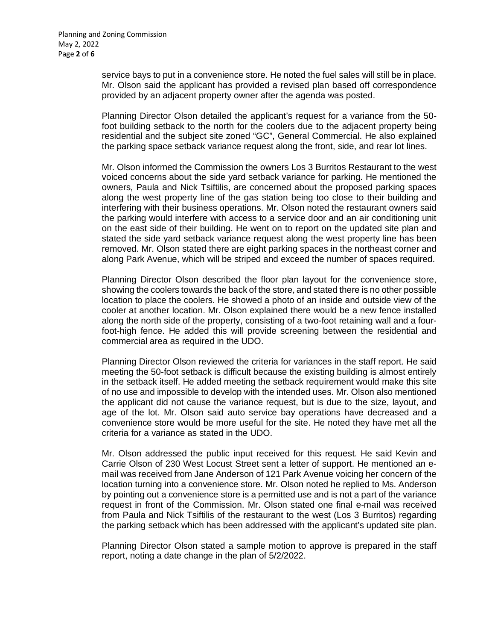service bays to put in a convenience store. He noted the fuel sales will still be in place. Mr. Olson said the applicant has provided a revised plan based off correspondence provided by an adjacent property owner after the agenda was posted.

Planning Director Olson detailed the applicant's request for a variance from the 50 foot building setback to the north for the coolers due to the adjacent property being residential and the subject site zoned "GC", General Commercial. He also explained the parking space setback variance request along the front, side, and rear lot lines.

Mr. Olson informed the Commission the owners Los 3 Burritos Restaurant to the west voiced concerns about the side yard setback variance for parking. He mentioned the owners, Paula and Nick Tsiftilis, are concerned about the proposed parking spaces along the west property line of the gas station being too close to their building and interfering with their business operations. Mr. Olson noted the restaurant owners said the parking would interfere with access to a service door and an air conditioning unit on the east side of their building. He went on to report on the updated site plan and stated the side yard setback variance request along the west property line has been removed. Mr. Olson stated there are eight parking spaces in the northeast corner and along Park Avenue, which will be striped and exceed the number of spaces required.

Planning Director Olson described the floor plan layout for the convenience store, showing the coolers towards the back of the store, and stated there is no other possible location to place the coolers. He showed a photo of an inside and outside view of the cooler at another location. Mr. Olson explained there would be a new fence installed along the north side of the property, consisting of a two-foot retaining wall and a fourfoot-high fence. He added this will provide screening between the residential and commercial area as required in the UDO.

Planning Director Olson reviewed the criteria for variances in the staff report. He said meeting the 50-foot setback is difficult because the existing building is almost entirely in the setback itself. He added meeting the setback requirement would make this site of no use and impossible to develop with the intended uses. Mr. Olson also mentioned the applicant did not cause the variance request, but is due to the size, layout, and age of the lot. Mr. Olson said auto service bay operations have decreased and a convenience store would be more useful for the site. He noted they have met all the criteria for a variance as stated in the UDO.

Mr. Olson addressed the public input received for this request. He said Kevin and Carrie Olson of 230 West Locust Street sent a letter of support. He mentioned an email was received from Jane Anderson of 121 Park Avenue voicing her concern of the location turning into a convenience store. Mr. Olson noted he replied to Ms. Anderson by pointing out a convenience store is a permitted use and is not a part of the variance request in front of the Commission. Mr. Olson stated one final e-mail was received from Paula and Nick Tsiftilis of the restaurant to the west (Los 3 Burritos) regarding the parking setback which has been addressed with the applicant's updated site plan.

Planning Director Olson stated a sample motion to approve is prepared in the staff report, noting a date change in the plan of 5/2/2022.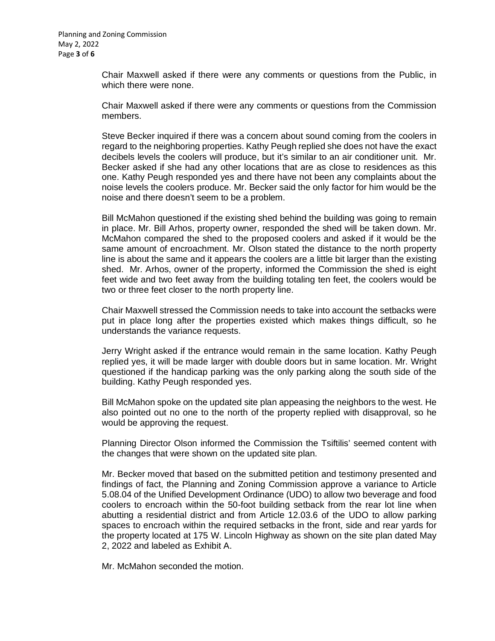Chair Maxwell asked if there were any comments or questions from the Public, in which there were none.

Chair Maxwell asked if there were any comments or questions from the Commission members.

Steve Becker inquired if there was a concern about sound coming from the coolers in regard to the neighboring properties. Kathy Peugh replied she does not have the exact decibels levels the coolers will produce, but it's similar to an air conditioner unit. Mr. Becker asked if she had any other locations that are as close to residences as this one. Kathy Peugh responded yes and there have not been any complaints about the noise levels the coolers produce. Mr. Becker said the only factor for him would be the noise and there doesn't seem to be a problem.

Bill McMahon questioned if the existing shed behind the building was going to remain in place. Mr. Bill Arhos, property owner, responded the shed will be taken down. Mr. McMahon compared the shed to the proposed coolers and asked if it would be the same amount of encroachment. Mr. Olson stated the distance to the north property line is about the same and it appears the coolers are a little bit larger than the existing shed. Mr. Arhos, owner of the property, informed the Commission the shed is eight feet wide and two feet away from the building totaling ten feet, the coolers would be two or three feet closer to the north property line.

Chair Maxwell stressed the Commission needs to take into account the setbacks were put in place long after the properties existed which makes things difficult, so he understands the variance requests.

Jerry Wright asked if the entrance would remain in the same location. Kathy Peugh replied yes, it will be made larger with double doors but in same location. Mr. Wright questioned if the handicap parking was the only parking along the south side of the building. Kathy Peugh responded yes.

Bill McMahon spoke on the updated site plan appeasing the neighbors to the west. He also pointed out no one to the north of the property replied with disapproval, so he would be approving the request.

Planning Director Olson informed the Commission the Tsiftilis' seemed content with the changes that were shown on the updated site plan.

Mr. Becker moved that based on the submitted petition and testimony presented and findings of fact, the Planning and Zoning Commission approve a variance to Article 5.08.04 of the Unified Development Ordinance (UDO) to allow two beverage and food coolers to encroach within the 50-foot building setback from the rear lot line when abutting a residential district and from Article 12.03.6 of the UDO to allow parking spaces to encroach within the required setbacks in the front, side and rear yards for the property located at 175 W. Lincoln Highway as shown on the site plan dated May 2, 2022 and labeled as Exhibit A.

Mr. McMahon seconded the motion.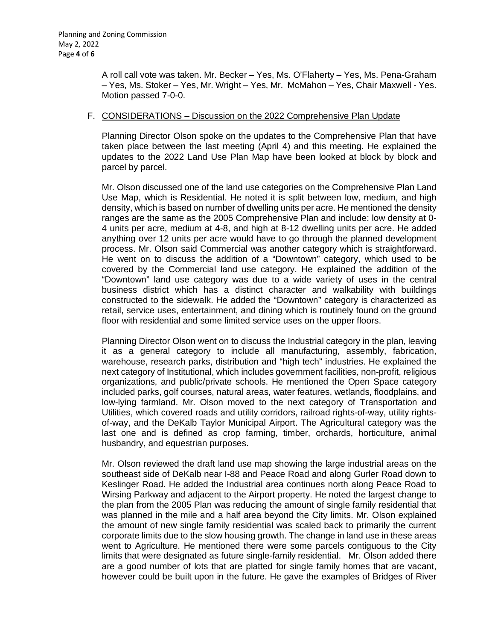A roll call vote was taken. Mr. Becker – Yes, Ms. O'Flaherty – Yes, Ms. Pena-Graham – Yes, Ms. Stoker – Yes, Mr. Wright – Yes, Mr. McMahon – Yes, Chair Maxwell - Yes. Motion passed 7-0-0.

### F. CONSIDERATIONS – Discussion on the 2022 Comprehensive Plan Update

Planning Director Olson spoke on the updates to the Comprehensive Plan that have taken place between the last meeting (April 4) and this meeting. He explained the updates to the 2022 Land Use Plan Map have been looked at block by block and parcel by parcel.

Mr. Olson discussed one of the land use categories on the Comprehensive Plan Land Use Map, which is Residential. He noted it is split between low, medium, and high density, which is based on number of dwelling units per acre. He mentioned the density ranges are the same as the 2005 Comprehensive Plan and include: low density at 0- 4 units per acre, medium at 4-8, and high at 8-12 dwelling units per acre. He added anything over 12 units per acre would have to go through the planned development process. Mr. Olson said Commercial was another category which is straightforward. He went on to discuss the addition of a "Downtown" category, which used to be covered by the Commercial land use category. He explained the addition of the "Downtown" land use category was due to a wide variety of uses in the central business district which has a distinct character and walkability with buildings constructed to the sidewalk. He added the "Downtown" category is characterized as retail, service uses, entertainment, and dining which is routinely found on the ground floor with residential and some limited service uses on the upper floors.

Planning Director Olson went on to discuss the Industrial category in the plan, leaving it as a general category to include all manufacturing, assembly, fabrication, warehouse, research parks, distribution and "high tech" industries. He explained the next category of Institutional, which includes government facilities, non-profit, religious organizations, and public/private schools. He mentioned the Open Space category included parks, golf courses, natural areas, water features, wetlands, floodplains, and low-lying farmland. Mr. Olson moved to the next category of Transportation and Utilities, which covered roads and utility corridors, railroad rights-of-way, utility rightsof-way, and the DeKalb Taylor Municipal Airport. The Agricultural category was the last one and is defined as crop farming, timber, orchards, horticulture, animal husbandry, and equestrian purposes.

Mr. Olson reviewed the draft land use map showing the large industrial areas on the southeast side of DeKalb near I-88 and Peace Road and along Gurler Road down to Keslinger Road. He added the Industrial area continues north along Peace Road to Wirsing Parkway and adjacent to the Airport property. He noted the largest change to the plan from the 2005 Plan was reducing the amount of single family residential that was planned in the mile and a half area beyond the City limits. Mr. Olson explained the amount of new single family residential was scaled back to primarily the current corporate limits due to the slow housing growth. The change in land use in these areas went to Agriculture. He mentioned there were some parcels contiguous to the City limits that were designated as future single-family residential. Mr. Olson added there are a good number of lots that are platted for single family homes that are vacant, however could be built upon in the future. He gave the examples of Bridges of River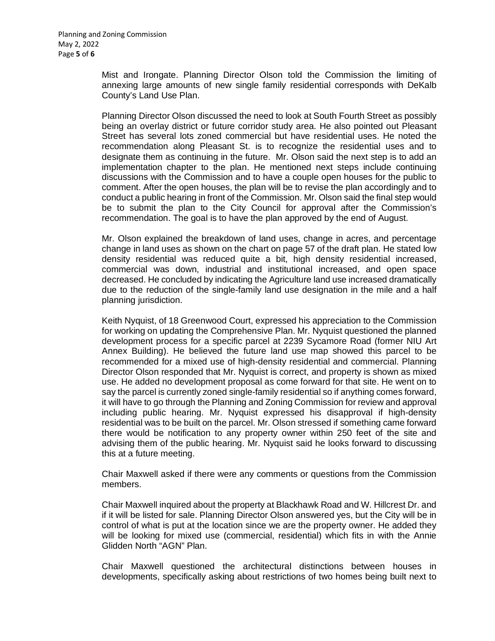Mist and Irongate. Planning Director Olson told the Commission the limiting of annexing large amounts of new single family residential corresponds with DeKalb County's Land Use Plan.

Planning Director Olson discussed the need to look at South Fourth Street as possibly being an overlay district or future corridor study area. He also pointed out Pleasant Street has several lots zoned commercial but have residential uses. He noted the recommendation along Pleasant St. is to recognize the residential uses and to designate them as continuing in the future. Mr. Olson said the next step is to add an implementation chapter to the plan. He mentioned next steps include continuing discussions with the Commission and to have a couple open houses for the public to comment. After the open houses, the plan will be to revise the plan accordingly and to conduct a public hearing in front of the Commission. Mr. Olson said the final step would be to submit the plan to the City Council for approval after the Commission's recommendation. The goal is to have the plan approved by the end of August.

Mr. Olson explained the breakdown of land uses, change in acres, and percentage change in land uses as shown on the chart on page 57 of the draft plan. He stated low density residential was reduced quite a bit, high density residential increased, commercial was down, industrial and institutional increased, and open space decreased. He concluded by indicating the Agriculture land use increased dramatically due to the reduction of the single-family land use designation in the mile and a half planning jurisdiction.

Keith Nyquist, of 18 Greenwood Court, expressed his appreciation to the Commission for working on updating the Comprehensive Plan. Mr. Nyquist questioned the planned development process for a specific parcel at 2239 Sycamore Road (former NIU Art Annex Building). He believed the future land use map showed this parcel to be recommended for a mixed use of high-density residential and commercial. Planning Director Olson responded that Mr. Nyquist is correct, and property is shown as mixed use. He added no development proposal as come forward for that site. He went on to say the parcel is currently zoned single-family residential so if anything comes forward, it will have to go through the Planning and Zoning Commission for review and approval including public hearing. Mr. Nyquist expressed his disapproval if high-density residential was to be built on the parcel. Mr. Olson stressed if something came forward there would be notification to any property owner within 250 feet of the site and advising them of the public hearing. Mr. Nyquist said he looks forward to discussing this at a future meeting.

Chair Maxwell asked if there were any comments or questions from the Commission members.

Chair Maxwell inquired about the property at Blackhawk Road and W. Hillcrest Dr. and if it will be listed for sale. Planning Director Olson answered yes, but the City will be in control of what is put at the location since we are the property owner. He added they will be looking for mixed use (commercial, residential) which fits in with the Annie Glidden North "AGN" Plan.

Chair Maxwell questioned the architectural distinctions between houses in developments, specifically asking about restrictions of two homes being built next to